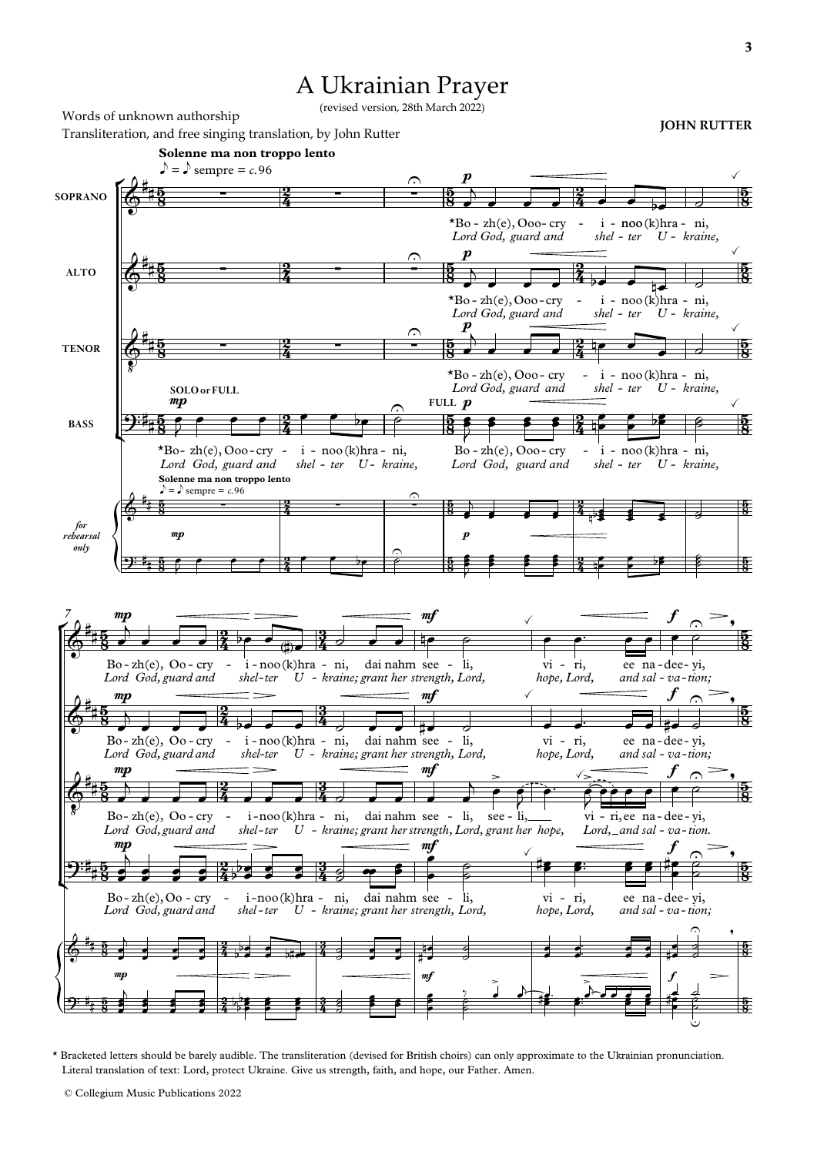## A Ukrainian Prayer

(revised version, 28th March 2022)

r l ŕ l **Solenne ma non troppo lento Solenne ma non troppo lento**  $\log \theta$  sempre = c.96  $\frac{1}{\sqrt{2}}$  =  $\frac{1}{2}$  empre = *c*.96 Words of unknown authorship Transliteration, and free singing translation, by John Rutter **JOHN RUTTER JOHN RUTTER SOPRANO ALTO TENOR BASS** *for rehearsal only 7*  $\frac{5}{2}$ 5<br>8  $\frac{5}{2}$  $\frac{5}{8}$  $\frac{5}{2}$  $\frac{5}{8}$  $\frac{5}{2}$  $\frac{5}{8}$  $\frac{5}{8}$ 5  $\frac{5}{8}$ 2 ž 2  $\frac{2}{4}$ <u>2</u>  $\frac{2}{4}$ 2  $\frac{2}{4}$ 2 ž 2 ž  $\frac{5}{2}$ <u>58</u>  $\frac{5}{2}$  $\frac{5}{8}$  $\frac{5}{2}$  $\frac{5}{8}$ **FULL**  $p$  $\frac{5}{8}$ 5  $\frac{5}{8}$ 5  $\frac{5}{8}$ 2 ž -<br>2 ź <u>2</u> ź 2 ž 2 ž 2 ž  $\frac{5}{2}$ <u>58</u>  $\frac{5}{2}$  $\frac{5}{8}$  $\frac{5}{2}$  $\frac{5}{8}$  $\frac{5}{2}$  $\frac{5}{8}$ 5  $\frac{5}{8}$ 5  $\frac{5}{8}$  $\frac{5}{2}$  $\frac{5}{8}$  $\frac{5}{2}$  $\frac{5}{8}$  $\frac{5}{2}$  $\frac{5}{8}$  $\frac{5}{2}$  $\frac{5}{8}$  $\frac{5}{2}$ a<br>8 5 <u>3</u> 2<br>2 ź 2 Ź 2<br>2 ź <u>2</u> ź 2 ž 2 ž <u>3</u>  $\frac{3}{4}$ 3 i<br>4 3  $\frac{3}{4}$ <u>3</u>  $\frac{3}{4}$ 3 ž 3 ž  $\frac{5}{2}$  $\frac{5}{8}$  $\frac{1}{2}$  $\frac{5}{8}$  $\frac{5}{2}$  $\frac{5}{8}$  $\frac{5}{2}$  $\frac{5}{8}$ 5  $\frac{5}{8}$ 5  $\frac{5}{8}$  $\delta^*$  $\frac{15}{18}$  -  $\frac{2}{4}$  -  $\frac{2}{4}$  $*Bo$  - zh(e), Ooo- cry - i *Lord God, guard and* p *shel ter - U* - i - noo(k)hra - ni, *- kraine,*  $\checkmark$  $\mathbf{\hat{e}}^*$  $\frac{15}{2}$  -  $\frac{2}{4}$  -  $\frac{2}{4}$  $*Bo$  - zh(e), Ooo - cry - i *Lord God, guard and* p *shel ter - U* - noo - (k)hra - ni, *- kraine,*  $\checkmark$  $\Phi$ i E  $\frac{15}{18}$  -  $\frac{2}{4}$  -  $\frac{2}{4}$  $*Bo$  - zh(e), Ooo - cry - i *Lord God, guard and* p *shel ter - U* - i - noo(k)hra - ni, *- kraine,*  $\checkmark$  $\mathbf{\mathfrak{P}}^{\mathbf{:t}}$  $\star$ Bo-zh(e), Ooo-cry - i *Lord God, guard and* mp **SOLO or FULL** *shel ter - U - kraine,* - i - noo(k)hra - ni,  $\frac{1}{2}$  $Bo - zh(e)$ ,  $Ooo - cry - i$ *Lord God, guard and shel ter - U* - i - noo(k)hra - ni, *- kraine,*  $\checkmark$  $^{\prime\prime}$  $\boldsymbol{r}$ ): i<sub>t</sub> mp  $\frac{1}{2}$  $\delta^*$ E  $Bo$ -zh $(e)$ ,  $Oo$ -cry - i *Lord God, guard and* mp *shel ter - U* - i-noo(k)hra - ni, dai *kraine; - grant her strength, Lord,* nahm see  $m$ li,  $\frac{1}{2}$ vi *hope, Lord,* ri, - ee and sal - va-tion; na dee - yi, f  $\triangle$  $\frac{1}{\sqrt{2}}$  $\delta^*$ E  $B_0$ - zh(e), Oo-cry - i *Lord God, guard and* mp *shel ter - U* - i-noo(k)hra - ni, dai *kraine; - grant her strength, Lord,* nahm see - li, mf  $\checkmark$ vi - ri, ee *hope, Lord, and* sal - va-tion; na dee - yi, f  $\frac{1}{\sqrt{2}}$  $\frac{1}{\sqrt{2}}$  $\Phi$ i E E  $Bo-zh(e)$ ,  $Oo-cry$ *Lord God, guard and* mp *shel -ter* - i-noo(k)hra - ni, dai *U kraine; - grant her strength, Lord, grant her hope,* nahm see - li, see mf  $\geq$ li, -  $\sqrt{2}$ *Lord*, and sal - va-tion. vi - ri, ee na - dee - yi,  $\leq$ f  $\triangle$  $\frac{1}{\sqrt{2}}$  $\mathbf{\mathfrak{P}}^{\mathbf{:t}}$ Bo-zh(e), Oo - cry *Lord God, guard and* mp<br> *shel* - <sup>i</sup> noo *-ter* -noo(k)hra - ni, dai *U kraine; - grant her strength, Lord,* nahm see li, mf  $\checkmark$ vi - ri, ee *hope, Lord, and* sal - va - tion; na dee - yi, f  $\hat{\varphi}$  $\frac{1}{\sqrt{2}}$  $\textcolor{red}{\textcolor{black}{\textcolor{black}{\textcolor{black}{\textcolor{black}{\textcolor{black}{\textcolor{black}{\textcolor{black}{\textcolor{black}{\textcolor{black}{\textcolor{black}{\textcolor{black}{\textcolor{black}{\textcolor{black}{\textcolor{black}{\textcolor{black}{\textcolor{black}{\textcolor{black}{\textcolor{black}{\textcolor{black}{\textcolor{black}{\textcolor{black}{\textcolor{black}{\textcolor{black}{\textcolor{black}{\textcolor{black}{\textcolor{black}{\textcolor{black}{\textcolor{black}{\textcolor{black}{\textcolor{black}{\textcolor{black}{\textcolor{black}{\textcolor{black}{\textcolor{black}{\textcolor{black}{\textcolor{$ E mp and  $\frac{m}{2}$  function  $\frac{m}{2}$  and  $\frac{m}{2}$  function  $\frac{m}{2}$  function  $\frac{m}{2}$  function  $\frac{m}{2}$  function  $\frac{m}{2}$  function  $\frac{m}{2}$  function  $\frac{m}{2}$  function  $\frac{m}{2}$  function  $\frac{m}{2}$  function  $\frac{m}{2}$   $\widehat{\cdot}$  ,  $2^{\cdot}$  i  $\overline{a}$ E Ξ E  $\overline{\mathbb{C}}$  $\overline{\phantom{a}}$  $\frac{2}{4}$   $\frac{2}{9}$   $\frac{2}{9}$  $\overline{\phantom{0}}$  $\frac{1}{4}$   $\frac{1}{4}$   $\frac{1}{4}$   $\frac{1}{4}$   $\frac{1}{4}$  $\overline{\phantom{a}}$  $5 - 325$  $\frac{1}{\sqrt{2}}$  $5$   $6$   $6$   $8$   $9$   $9$   $9$   $8$   $9$   $8$  $5$  5 5  $\frac{2}{4}$  5 <u>.</u><br>11 5  $5 - 5$   $8$ 5 5  $\overline{\phantom{a}}$ 5 5 5 5  $\frac{1}{3}$   $\frac{1}{7}$ 5  $\frac{1}{3}$  5 5  $\mathbf{1}$  $\overline{\phantom{a}}$   $\overline{\phantom{a}}$ J<br>8 5  $5$  f f  $2$  f  $\frac{1}{2}$  f  $\frac{1}{2}$   $\frac{1}{2}$   $\frac{1}{2}$   $\frac{1}{2}$   $\frac{1}{2}$ ₱  $\frac{1}{2}$   $\frac{1}{2}$   $\frac{1}{2}$   $\frac{1}{2}$ !5 <sup>5</sup>  $\frac{1}{2}$  bbs  $\frac{1}{2}$  $\overline{\phantom{a}}$  $\frac{1}{\sqrt{5}}$   $\frac{1}{\sqrt{5}}$   $\frac{1}{\sqrt{5}}$   $\frac{1}{\sqrt{5}}$   $\frac{1}{\sqrt{5}}$   $\frac{1}{\sqrt{5}}$   $\frac{1}{\sqrt{5}}$   $\frac{1}{\sqrt{5}}$   $\frac{1}{\sqrt{5}}$   $\frac{1}{\sqrt{5}}$   $\frac{1}{\sqrt{5}}$   $\frac{1}{\sqrt{5}}$   $\frac{1}{\sqrt{5}}$   $\frac{1}{\sqrt{5}}$   $\frac{1}{\sqrt{5}}$   $\frac{1}{\sqrt{5}}$   $\frac{1}{\sqrt{5}}$   $5 - \frac{2}{4}$  5  $\frac{3}{4}$  5  $\frac{3}{4}$  5  $-$  5  $\frac{1}{4}$  5  $-$  5  $-$  5  $\frac{1}{4}$  5  $-$ 5  $\frac{3}{4}$  5  $\frac{3}{4}$  5 6  $\frac{3}{4}$  5 5 5 6 5 6 7 6 7  $\frac{1}{\sqrt{2}}$  $\frac{1}{2}$  $\frac{5}{5}$   $\frac{3}{5}$   $\frac{3}{5}$   $\frac{3}{5}$   $\frac{3}{5}$   $\frac{3}{5}$   $\frac{3}{5}$   $\frac{3}{5}$   $\frac{3}{5}$   $\frac{3}{5}$   $\frac{3}{5}$   $\frac{3}{5}$   $\frac{3}{5}$   $\frac{3}{5}$   $\frac{3}{5}$   $\frac{3}{5}$   $\frac{3}{5}$   $\frac{3}{5}$   $\frac{3}{5}$   $\frac{3}{5}$   $\frac{3}{5}$   $\frac{3}{5}$   $\bullet$ <u>i</u>  $\bullet$ 5 5 5 5  $\frac{1}{4}$   $\frac{1}{2}$  $\frac{1}{2}$   $\frac{1}{2}$  $\frac{1}{\epsilon}$  $\frac{3}{4}$  g  $\frac{m}{s}$   $\frac{1}{s}$  $\frac{1}{2}$  $\begin{array}{ccc} \circ & & \circ\\ \circ & & \sharp \bullet & \bullet\end{array}$ ;<br><del>: 55 File</del>  $\frac{1}{2}$  $\frac{y}{\sqrt{2}}$ p 5 5  $\overline{a}$ 5 <sup>5</sup> <sup>5</sup> <sup>5</sup> <sup>5</sup>  $\frac{2}{4}$   $\frac{5}{2}$  $\frac{5}{5}$   $\frac{3}{5}$  $\frac{3}{4}$   $\frac{3}{4}$   $\frac{3}{5}$  $\stackrel{\text{\tiny 3}}{\text{\tiny 3}}$  ; <sup>5</sup> <sup>5</sup>  $\frac{1}{4}$ !5  $E = 3$  $\frac{1}{2}$   $\frac{1}{2}$  $\cdot$  : 5: :<br>.<br>.  $\cdot$  :  $\frac{1}{2}$   $\frac{1}{2}$ 5  $\sum$  $\frac{1}{2}$ 5 5  $\overline{\phantom{a}}$  $\overline{b}$ 5 5 <sup>5</sup> <sup>5</sup> **s** <sup>5</sup> <sup>5</sup> 5  $\frac{1}{2}$ 5 b  $\frac{1}{2}$  $555$  $\frac{1}{2}$  $\frac{3}{4}$  g g  $\frac{1}{5}$   $\frac{1}{5}$   $\frac{1}{5}$  $\epsilon$  $\frac{2}{5}$ B  $\frac{1}{2}$   $\frac{1}{2}$  $\overrightarrow{a}$ : <u>ا</u>  $5 - 7 - 7$  $\frac{1}{5}$   $\frac{3}{5}$ e<br>P B

\* Bracketed letters should be barely audible. The transliteration (devised for British choirs) can only approximate to the Ukrainian pronunciation. Literal translation of text: Lord, protect Ukraine. Give us strength, faith, and hope, our Father. Amen.

© Collegium Music Publications 2022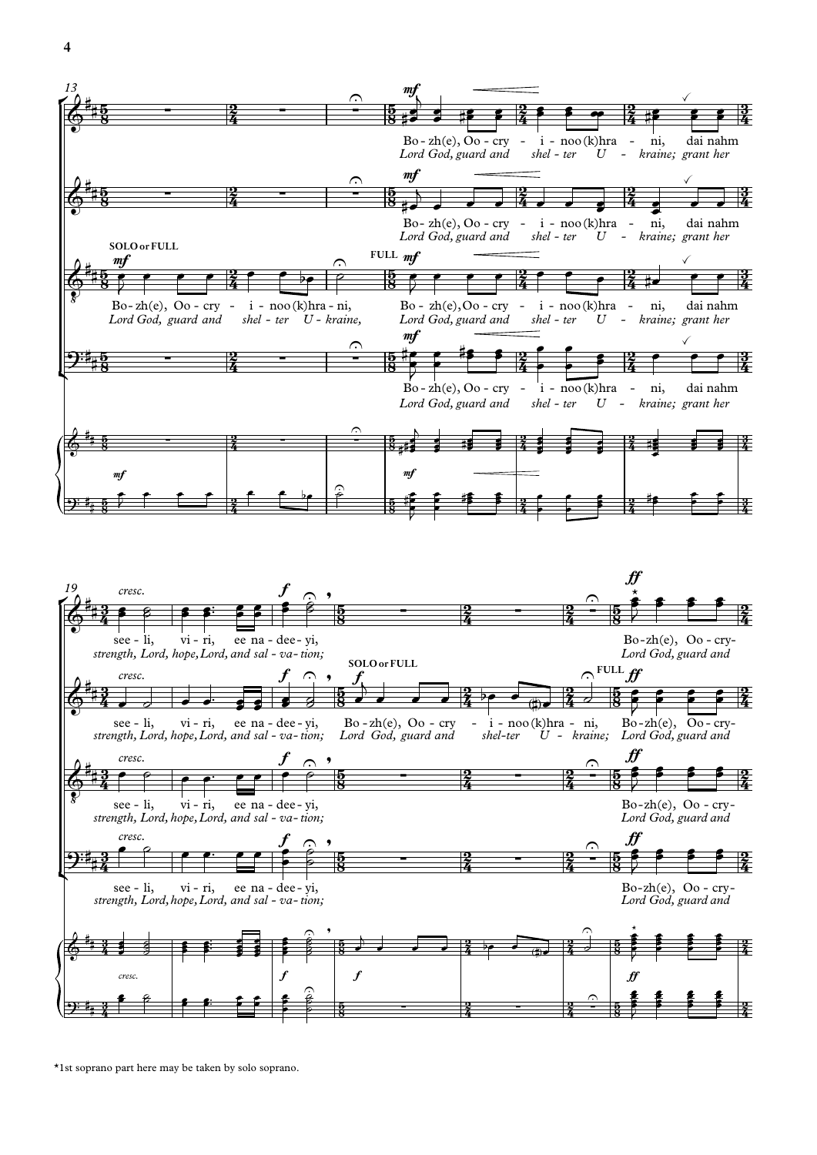



\*1st soprano part here may be taken by solo soprano.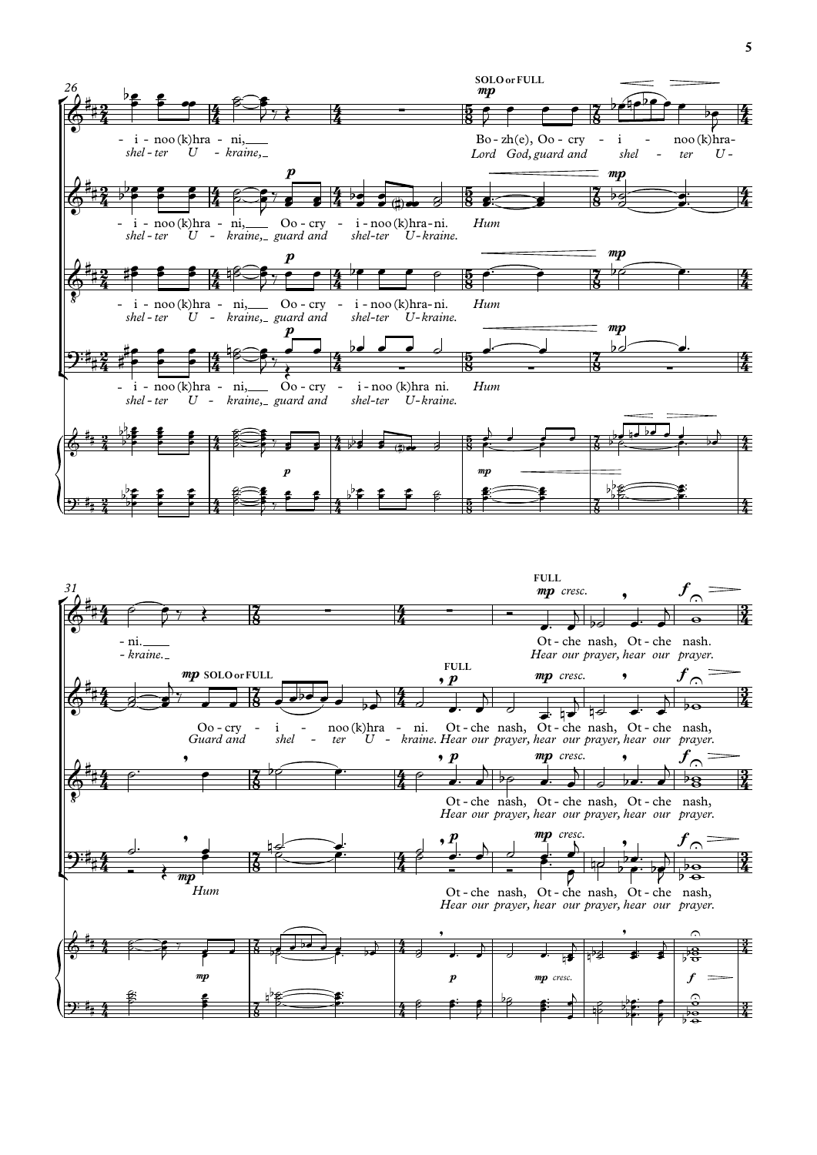